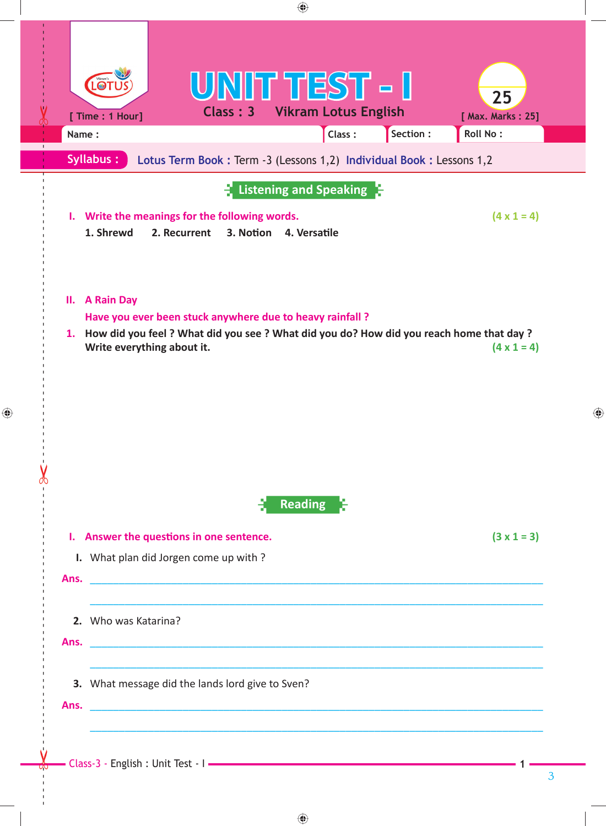

 $\bigoplus$